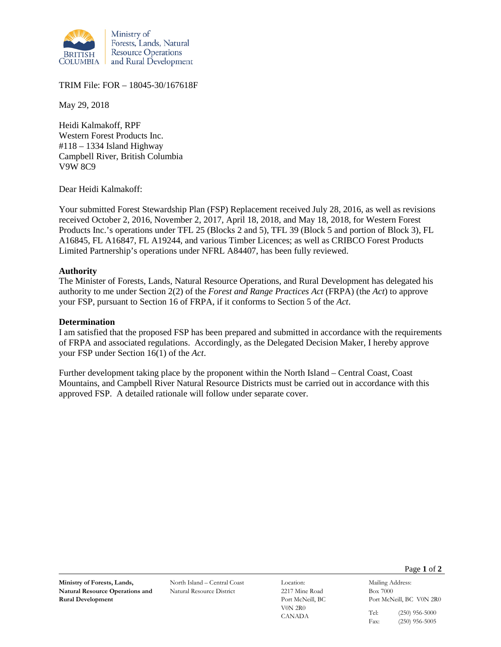

TRIM File: FOR – 18045-30/167618F

May 29, 2018

Heidi Kalmakoff, RPF Western Forest Products Inc. #118 – 1334 Island Highway Campbell River, British Columbia V9W 8C9

Dear Heidi Kalmakoff:

Your submitted Forest Stewardship Plan (FSP) Replacement received July 28, 2016, as well as revisions received October 2, 2016, November 2, 2017, April 18, 2018, and May 18, 2018, for Western Forest Products Inc.'s operations under TFL 25 (Blocks 2 and 5), TFL 39 (Block 5 and portion of Block 3), FL A16845, FL A16847, FL A19244, and various Timber Licences; as well as CRIBCO Forest Products Limited Partnership's operations under NFRL A84407, has been fully reviewed.

## **Authority**

The Minister of Forests, Lands, Natural Resource Operations, and Rural Development has delegated his authority to me under Section 2(2) of the *Forest and Range Practices Act* (FRPA) (the *Act*) to approve your FSP, pursuant to Section 16 of FRPA, if it conforms to Section 5 of the *Act*.

## **Determination**

I am satisfied that the proposed FSP has been prepared and submitted in accordance with the requirements of FRPA and associated regulations. Accordingly, as the Delegated Decision Maker, I hereby approve your FSP under Section 16(1) of the *Act*.

Further development taking place by the proponent within the North Island – Central Coast, Coast Mountains, and Campbell River Natural Resource Districts must be carried out in accordance with this approved FSP. A detailed rationale will follow under separate cover.

North Island – Central Coast Natural Resource District

Location: 2217 Mine Road Port McNeill, BC V0N 2R0 CANADA

Page **1** of **2**

Box 7000 Port McNeill, BC V0N 2R0 Tel: (250) 956-5000

Mailing Address:

Fax: (250) 956-5005